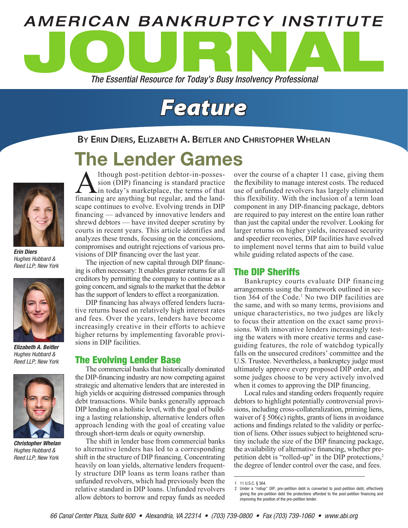

# *Feature*

## **By Erin Diers, Elizabeth A. Beitler and Christopher Whelan**

# The Lender Games



*Erin Diers Hughes Hubbard & Reed LLP; New York*



*Elizabeth A. Beitler Hughes Hubbard & Reed LLP; New York*



*Christopher Whelan Hughes Hubbard & Reed LLP; New York*

Although post-petition debtor-in-posses-<br>sion (DIP) financing is standard practice<br>financing are anything but regular and the landsion (DIP) financing is standard practice in today's marketplace, the terms of that financing are anything but regular, and the landscape continues to evolve. Evolving trends in DIP financing — advanced by innovative lenders and shrewd debtors — have invited deeper scrutiny by courts in recent years. This article identifies and analyzes these trends, focusing on the concessions, compromises and outright rejections of various provisions of DIP financing over the last year.

The injection of new capital through DIP financing is often necessary: It enables greater returns for all creditors by permitting the company to continue as a going concern, and signals to the market that the debtor has the support of lenders to effect a reorganization.

DIP financing has always offered lenders lucrative returns based on relatively high interest rates and fees. Over the years, lenders have become increasingly creative in their efforts to achieve higher returns by implementing favorable provisions in DIP facilities.

### The Evolving Lender Base

The commercial banks that historically dominated the DIP-financing industry are now competing against strategic and alternative lenders that are interested in high yields or acquiring distressed companies through debt transactions. While banks generally approach DIP lending on a holistic level, with the goal of building a lasting relationship, alternative lenders often approach lending with the goal of creating value through short-term deals or equity ownership.

The shift in lender base from commercial banks to alternative lenders has led to a corresponding shift in the structure of DIP financing. Concentrating heavily on loan yields, alternative lenders frequently structure DIP loans as term loans rather than unfunded revolvers, which had previously been the relative standard in DIP loans. Unfunded revolvers allow debtors to borrow and repay funds as needed over the course of a chapter 11 case, giving them the flexibility to manage interest costs. The reduced use of unfunded revolvers has largely eliminated this flexibility. With the inclusion of a term loan component in any DIP-financing package, debtors are required to pay interest on the entire loan rather than just the capital under the revolver. Looking for larger returns on higher yields, increased security and speedier recoveries, DIP facilities have evolved to implement novel terms that aim to build value while guiding related aspects of the case.

# The DIP Sheriffs

Bankruptcy courts evaluate DIP financing arrangements using the framework outlined in section 364 of the Code.<sup>1</sup> No two DIP facilities are the same, and with so many terms, provisions and unique characteristics, no two judges are likely to focus their attention on the exact same provisions. With innovative lenders increasingly testing the waters with more creative terms and caseguiding features, the role of watchdog typically falls on the unsecured creditors' committee and the U.S. Trustee. Nevertheless, a bankruptcy judge must ultimately approve every proposed DIP order, and some judges choose to be very actively involved when it comes to approving the DIP financing.

Local rules and standing orders frequently require debtors to highlight potentially controversial provisions, including cross-collateralization, priming liens, waiver of § 506(c) rights, grants of liens in avoidance actions and findings related to the validity or perfection of liens. Other issues subject to heightened scrutiny include the size of the DIP financing package, the availability of alternative financing, whether prepetition debt is "rolled-up" in the DIP protections,<sup>2</sup> the degree of lender control over the case, and fees.

<sup>1</sup> 11 U.S.C. § 364.

<sup>2</sup> Under a "rollup" DIP, pre-petition debt is converted to post-petition debt, effectively giving the pre-petition debt the protections afforded to the post-petition financing and improving the position of the pre-petition lender.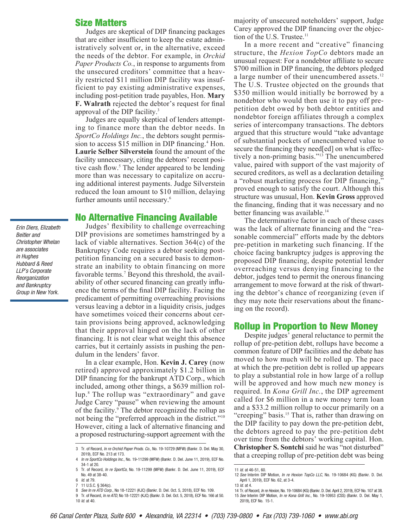#### Size Matters

Judges are skeptical of DIP financing packages that are either insufficient to keep the estate administratively solvent or, in the alternative, exceed the needs of the debtor. For example, in *Orchid Paper Products Co.*, in response to arguments from the unsecured creditors' committee that a heavily restricted \$11 million DIP facility was insufficient to pay existing administrative expenses, including post-petition trade payables, Hon. **Mary F. Walrath** rejected the debtor's request for final approval of the DIP facility.3

Judges are equally skeptical of lenders attempting to finance more than the debtor needs. In *SportCo Holdings Inc.*, the debtors sought permission to access \$15 million in DIP financing.<sup>4</sup> Hon. **Laurie Selber Silverstein** found the amount of the facility unnecessary, citing the debtors' recent positive cash flow.<sup>5</sup> The lender appeared to be lending more than was necessary to capitalize on accruing additional interest payments. Judge Silverstein reduced the loan amount to \$10 million, delaying further amounts until necessary.<sup>6</sup>

#### No Alternative Financing Available

Judges' flexibility to challenge overreaching DIP provisions are sometimes hamstringed by a lack of viable alternatives. Section 364(c) of the Bankruptcy Code requires a debtor seeking postpetition financing on a secured basis to demonstrate an inability to obtain financing on more favorable terms.<sup>7</sup> Beyond this threshold, the availability of other secured financing can greatly influence the terms of the final DIP facility. Facing the predicament of permitting overreaching provisions versus leaving a debtor in a liquidity crisis, judges have sometimes voiced their concerns about certain provisions being approved, acknowledging that their approval hinged on the lack of other financing. It is not clear what weight this absence carries, but it certainly assists in pushing the pendulum in the lenders' favor.

In a clear example, Hon. **Kevin J. Carey** (now retired) approved approximately \$1.2 billion in DIP financing for the bankrupt ATD Corp., which included, among other things, a \$639 million rollup.8 The rollup was "extraordinary" and gave Judge Carey "pause" when reviewing the amount of the facility.<sup>9</sup> The debtor recognized the rollup as not being the "preferred approach in the district."10 However, citing a lack of alternative financing and a proposed restructuring-support agreement with the

majority of unsecured noteholders' support, Judge Carey approved the DIP financing over the objection of the U.S. Trustee.<sup>11</sup>

In a more recent and "creative" financing structure, the *Hexion TopCo* debtors made an unusual request: For a nondebtor affiliate to secure \$700 million in DIP financing, the debtors pledged a large number of their unencumbered assets.<sup>12</sup> The U.S. Trustee objected on the grounds that \$350 million would initially be borrowed by a nondebtor who would then use it to pay off prepetition debt owed by both debtor entities and nondebtor foreign affiliates through a complex series of intercompany transactions. The debtors argued that this structure would "take advantage of substantial pockets of unencumbered value to secure the financing they need[ed] on what is effectively a non-priming basis."13 The unencumbered value, paired with support of the vast majority of secured creditors, as well as a declaration detailing a "robust marketing process for DIP financing," proved enough to satisfy the court. Although this structure was unusual, Hon. **Kevin Gross** approved the financing, finding that it was necessary and no better financing was available.<sup>14</sup>

The determinative factor in each of these cases was the lack of alternate financing and the "reasonable commercial" efforts made by the debtors pre-petition in marketing such financing. If the choice facing bankruptcy judges is approving the proposed DIP financing, despite potential lender overreaching versus denying financing to the debtor, judges tend to permit the onerous financing arrangement to move forward at the risk of thwarting the debtor's chance of reorganizing (even if they may note their reservations about the financing on the record).

#### Rollup in Proportion to New Money

Despite judges' general reluctance to permit the rollup of pre-petition debt, rollups have become a common feature of DIP facilities and the debate has moved to how much will be rolled up. The pace at which the pre-petition debt is rolled up appears to play a substantial role in how large of a rollup will be approved and how much new money is required. In *Kona Grill Inc.*, the DIP agreement called for \$6 million in a new money term loan and a \$33.2 million rollup to occur primarily on a "creeping" basis.<sup>15</sup> That is, rather than drawing on the DIP facility to pay down the pre-petition debt, the debtors agreed to pay the pre-petition debt over time from the debtors' working capital. Hon. **Christopher S. Sontchi** said he was "not disturbed" that a creeping rollup of pre-petition debt was being

*Erin Diers, Elizabeth Beitler and Christopher Whelan are associates in Hughes Hubbard & Reed LLP's Corporate Reorganization and Bankruptcy Group in New York.*

<sup>3</sup> Tr. of Record, *In re Orchid Paper Prods. Co.*, No. 19-10729 (MFW) (Bankr. D. Del. May 30, 2019), ECF No. 213 at 173.

<sup>4</sup> *In re SportCo Holdings Inc.*, No. 19-11299 (MFW) (Bankr. D. Del. June 11, 2019), ECF No. 34-1 at 20.

<sup>5</sup> Tr. of Record, *In re SportCo*, No. 19-11299 (MFW) (Bankr. D. Del. June 11, 2019), ECF No. 49 at 38-40. 6 *Id*. at 79.

<sup>7</sup> 11 U.S.C. § 364(c).

<sup>8</sup> *See In re ATD Corp.*, No 18-12221 (KJC) (Bankr. D. Del. Oct. 5, 2018), ECF No. 109.

<sup>9</sup> Tr. of Record, *In re ATD*, No 18-12221 (KJC) (Bankr. D. Del. Oct. 5, 2018), ECF No. 166 at 50. 10 *Id*. at 40.

<sup>11</sup> *Id*. at 46-51, 60.

<sup>12</sup> *See* Interim DIP Motion, *In re Hexion TopCo LLC*, No. 19-10684 (KG) (Bankr. D. Del. April 1, 2019), ECF No. 62, at 3-4.

<sup>13</sup> *Id*. at 4.

<sup>14</sup> Tr. of Record, *In re Hexion*, No. 19-10684 (KG) (Bankr. D. Del. April 2, 2019), ECF No. 107 at 38. 15 *See* Interim DIP Motion, *In re Kona Grill Inc.*, No. 19-10953 (CSS) (Bankr. D. Del. May 1, 2019), ECF No. 15-1.